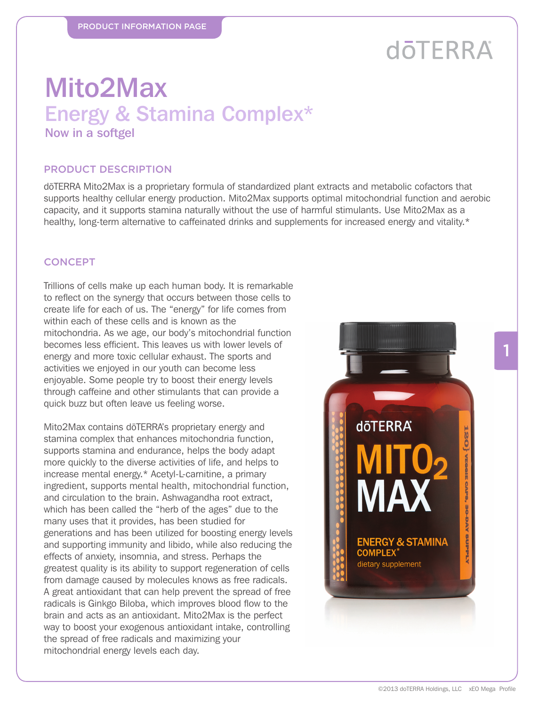# **döTERRA**

# Mito2Max Energy & Stamina Complex\*

Now in a softgel

#### PRODUCT DESCRIPTION

dōTERRA Mito2Max is a proprietary formula of standardized plant extracts and metabolic cofactors that supports healthy cellular energy production. Mito2Max supports optimal mitochondrial function and aerobic capacity, and it supports stamina naturally without the use of harmful stimulants. Use Mito2Max as a healthy, long-term alternative to caffeinated drinks and supplements for increased energy and vitality.\*

#### **CONCEPT**

Trillions of cells make up each human body. It is remarkable to reflect on the synergy that occurs between those cells to create life for each of us. The "energy" for life comes from within each of these cells and is known as the mitochondria. As we age, our body's mitochondrial function becomes less efficient. This leaves us with lower levels of energy and more toxic cellular exhaust. The sports and activities we enjoyed in our youth can become less enjoyable. Some people try to boost their energy levels through caffeine and other stimulants that can provide a quick buzz but often leave us feeling worse.

Mito2Max contains dōTERRA's proprietary energy and stamina complex that enhances mitochondria function, supports stamina and endurance, helps the body adapt more quickly to the diverse activities of life, and helps to increase mental energy.\* Acetyl-L-carnitine, a primary ingredient, supports mental health, mitochondrial function, and circulation to the brain. Ashwagandha root extract, which has been called the "herb of the ages" due to the many uses that it provides, has been studied for generations and has been utilized for boosting energy levels and supporting immunity and libido, while also reducing the effects of anxiety, insomnia, and stress. Perhaps the greatest quality is its ability to support regeneration of cells from damage caused by molecules knows as free radicals. A great antioxidant that can help prevent the spread of free radicals is Ginkgo Biloba, which improves blood flow to the brain and acts as an antioxidant. Mito2Max is the perfect way to boost your exogenous antioxidant intake, controlling the spread of free radicals and maximizing your mitochondrial energy levels each day.

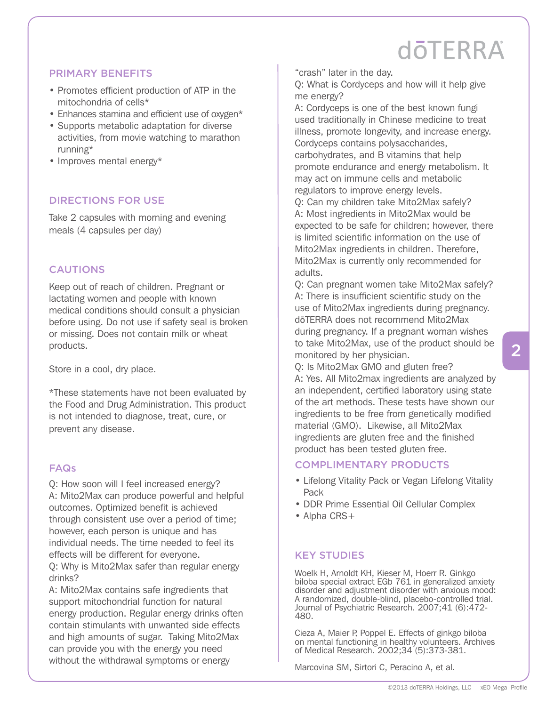# **doTFRRA**

### PRIMARY BENEFITS

- Promotes efficient production of ATP in the mitochondria of cells\*
- Enhances stamina and efficient use of oxygen\*
- Supports metabolic adaptation for diverse activities, from movie watching to marathon running\*
- Improves mental energy\*

## DIRECTIONS FOR USE

Take 2 capsules with morning and evening meals (4 capsules per day)

### CAUTIONS

Keep out of reach of children. Pregnant or lactating women and people with known medical conditions should consult a physician before using. Do not use if safety seal is broken or missing. Does not contain milk or wheat products.

Store in a cool, dry place.

\*These statements have not been evaluated by the Food and Drug Administration. This product is not intended to diagnose, treat, cure, or prevent any disease.

### FAQs

Q: How soon will I feel increased energy? A: Mito2Max can produce powerful and helpful outcomes. Optimized benefit is achieved through consistent use over a period of time; however, each person is unique and has individual needs. The time needed to feel its effects will be different for everyone.

Q: Why is Mito2Max safer than regular energy drinks?

A: Mito2Max contains safe ingredients that support mitochondrial function for natural energy production. Regular energy drinks often contain stimulants with unwanted side effects and high amounts of sugar. Taking Mito2Max can provide you with the energy you need without the withdrawal symptoms or energy

"crash" later in the day.

Q: What is Cordyceps and how will it help give me energy?

A: Cordyceps is one of the best known fungi used traditionally in Chinese medicine to treat illness, promote longevity, and increase energy. Cordyceps contains polysaccharides, carbohydrates, and B vitamins that help promote endurance and energy metabolism. It may act on immune cells and metabolic regulators to improve energy levels.

Q: Can my children take Mito2Max safely? A: Most ingredients in Mito2Max would be expected to be safe for children; however, there is limited scientific information on the use of Mito2Max ingredients in children. Therefore, Mito2Max is currently only recommended for adults.

Q: Can pregnant women take Mito2Max safely? A: There is insufficient scientific study on the use of Mito2Max ingredients during pregnancy. dōTERRA does not recommend Mito2Max during pregnancy. If a pregnant woman wishes to take Mito2Max, use of the product should be monitored by her physician.

Q: Is Mito2Max GMO and gluten free? A: Yes. All Mito2max ingredients are analyzed by an independent, certified laboratory using state of the art methods. These tests have shown our ingredients to be free from genetically modified material (GMO). Likewise, all Mito2Max ingredients are gluten free and the finished product has been tested gluten free.

### COMPLIMENTARY PRODUCTS

- Lifelong Vitality Pack or Vegan Lifelong Vitality Pack
- DDR Prime Essential Oil Cellular Complex
- Alpha CRS+

### KEY STUDIES

Woelk H, Arnoldt KH, Kieser M, Hoerr R. Ginkgo biloba special extract EGb 761 in generalized anxiety disorder and adjustment disorder with anxious mood: A randomized, double-blind, placebo-controlled trial. Journal of Psychiatric Research. 2007;41 (6):472- 480.

Cieza A, Maier P, Poppel E. Effects of ginkgo biloba on mental functioning in healthy volunteers. Archives of Medical Research. 2002;34 (5):373-381.

Marcovina SM, Sirtori C, Peracino A, et al.